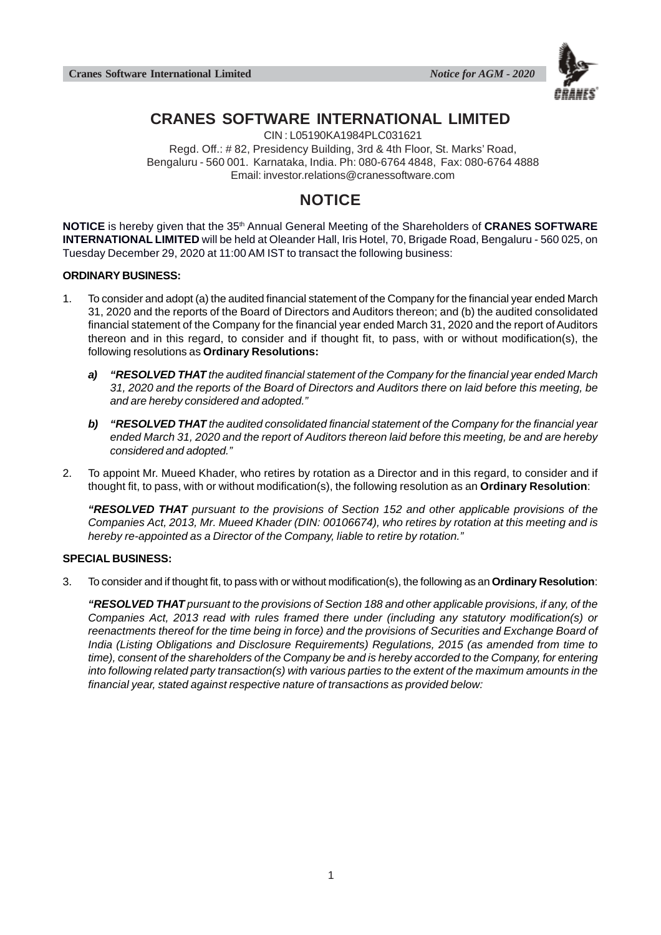

## **CRANES SOFTWARE INTERNATIONAL LIMITED**

CIN : L05190KA1984PLC031621 Regd. Off.: # 82, Presidency Building, 3rd & 4th Floor, St. Marks' Road,

Bengaluru - 560 001. Karnataka, India. Ph: 080-6764 4848, Fax: 080-6764 4888 Email: investor.relations@cranessoftware.com

## **NOTICE**

**NOTICE** is hereby given that the 35<sup>th</sup> Annual General Meeting of the Shareholders of **CRANES SOFTWARE INTERNATIONAL LIMITED** will be held at Oleander Hall, Iris Hotel, 70, Brigade Road, Bengaluru - 560 025, on Tuesday December 29, 2020 at 11:00 AM IST to transact the following business:

#### **ORDINARY BUSINESS:**

- 1. To consider and adopt (a) the audited financial statement of the Company for the financial year ended March 31, 2020 and the reports of the Board of Directors and Auditors thereon; and (b) the audited consolidated financial statement of the Company for the financial year ended March 31, 2020 and the report of Auditors thereon and in this regard, to consider and if thought fit, to pass, with or without modification(s), the following resolutions as **Ordinary Resolutions:**
	- *a) "RESOLVED THAT the audited financial statement of the Company for the financial year ended March 31, 2020 and the reports of the Board of Directors and Auditors there on laid before this meeting, be and are hereby considered and adopted."*
	- *b) "RESOLVED THAT the audited consolidated financial statement of the Company for the financial year ended March 31, 2020 and the report of Auditors thereon laid before this meeting, be and are hereby considered and adopted."*
- 2. To appoint Mr. Mueed Khader, who retires by rotation as a Director and in this regard, to consider and if thought fit, to pass, with or without modification(s), the following resolution as an **Ordinary Resolution**:

*"RESOLVED THAT pursuant to the provisions of Section 152 and other applicable provisions of the Companies Act, 2013, Mr. Mueed Khader (DIN: 00106674), who retires by rotation at this meeting and is hereby re-appointed as a Director of the Company, liable to retire by rotation."*

#### **SPECIAL BUSINESS:**

3. To consider and if thought fit, to pass with or without modification(s), the following as an **Ordinary Resolution**:

*"RESOLVED THAT pursuant to the provisions of Section 188 and other applicable provisions, if any, of the Companies Act, 2013 read with rules framed there under (including any statutory modification(s) or reenactments thereof for the time being in force) and the provisions of Securities and Exchange Board of India (Listing Obligations and Disclosure Requirements) Regulations, 2015 (as amended from time to time), consent of the shareholders of the Company be and is hereby accorded to the Company, for entering into following related party transaction(s) with various parties to the extent of the maximum amounts in the financial year, stated against respective nature of transactions as provided below:*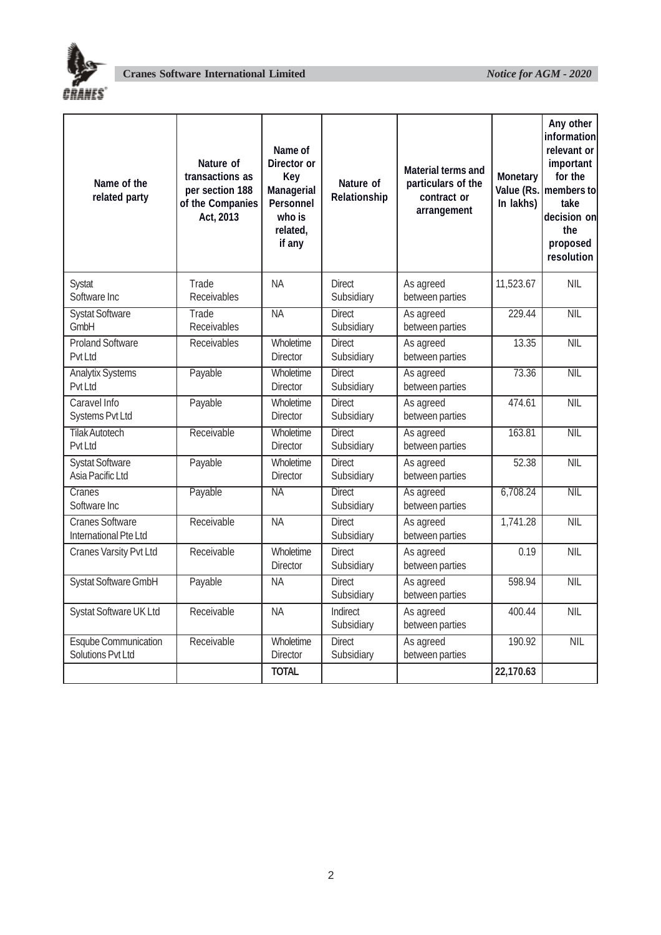

| Name of the<br>related party                     | Nature of<br>transactions as<br>per section 188<br>of the Companies<br>Act, 2013 | Name of<br>Director or<br>Key<br>Managerial<br>Personnel<br>who is<br>related,<br>if any | Nature of<br>Relationship   | Material terms and<br>particulars of the<br>contract or<br>arrangement | Monetary<br>In lakhs) | Any other<br>information<br>relevant or<br>important<br>for the<br>Value (Rs.   members to<br>take<br>decision on<br>the<br>proposed<br>resolution |
|--------------------------------------------------|----------------------------------------------------------------------------------|------------------------------------------------------------------------------------------|-----------------------------|------------------------------------------------------------------------|-----------------------|----------------------------------------------------------------------------------------------------------------------------------------------------|
| Systat<br>Software Inc                           | Trade<br>Receivables                                                             | <b>NA</b>                                                                                | <b>Direct</b><br>Subsidiary | As agreed<br>between parties                                           | 11,523.67             | <b>NIL</b>                                                                                                                                         |
| <b>Systat Software</b><br>GmbH                   | Trade<br>Receivables                                                             | <b>NA</b>                                                                                | <b>Direct</b><br>Subsidiary | As agreed<br>between parties                                           | 229.44                | NIL                                                                                                                                                |
| <b>Proland Software</b><br>Pvt Ltd               | Receivables                                                                      | Wholetime<br><b>Director</b>                                                             | <b>Direct</b><br>Subsidiary | As agreed<br>between parties                                           | 13.35                 | <b>NIL</b>                                                                                                                                         |
| <b>Analytix Systems</b><br>Pvt Ltd               | Payable                                                                          | Wholetime<br><b>Director</b>                                                             | <b>Direct</b><br>Subsidiary | As agreed<br>between parties                                           | 73.36                 | <b>NIL</b>                                                                                                                                         |
| Caravel Info<br>Systems Pvt Ltd                  | Payable                                                                          | Wholetime<br><b>Director</b>                                                             | <b>Direct</b><br>Subsidiary | As agreed<br>between parties                                           | 474.61                | <b>NIL</b>                                                                                                                                         |
| <b>Tilak Autotech</b><br>Pvt Ltd                 | Receivable                                                                       | Wholetime<br><b>Director</b>                                                             | <b>Direct</b><br>Subsidiary | As agreed<br>between parties                                           | 163.81                | NIL                                                                                                                                                |
| <b>Systat Software</b><br>Asia Pacific Ltd       | Payable                                                                          | Wholetime<br><b>Director</b>                                                             | <b>Direct</b><br>Subsidiary | As agreed<br>between parties                                           | 52.38                 | NIL                                                                                                                                                |
| Cranes<br>Software Inc                           | Payable                                                                          | <b>NA</b>                                                                                | <b>Direct</b><br>Subsidiary | As agreed<br>between parties                                           | 6,708.24              | <b>NIL</b>                                                                                                                                         |
| <b>Cranes Software</b><br>International Pte Ltd  | Receivable                                                                       | <b>NA</b>                                                                                | <b>Direct</b><br>Subsidiary | As agreed<br>between parties                                           | 1,741.28              | <b>NIL</b>                                                                                                                                         |
| Cranes Varsity Pvt Ltd                           | Receivable                                                                       | Wholetime<br><b>Director</b>                                                             | <b>Direct</b><br>Subsidiary | As agreed<br>between parties                                           | 0.19                  | <b>NIL</b>                                                                                                                                         |
| <b>Systat Software GmbH</b>                      | Payable                                                                          | <b>NA</b>                                                                                | <b>Direct</b><br>Subsidiary | As agreed<br>between parties                                           | 598.94                | NIL                                                                                                                                                |
| Systat Software UK Ltd                           | Receivable                                                                       | <b>NA</b>                                                                                | Indirect<br>Subsidiary      | As agreed<br>between parties                                           | 400.44                | <b>NIL</b>                                                                                                                                         |
| <b>Esqube Communication</b><br>Solutions Pvt Ltd | Receivable                                                                       | Wholetime<br><b>Director</b>                                                             | <b>Direct</b><br>Subsidiary | As agreed<br>between parties                                           | 190.92                | <b>NIL</b>                                                                                                                                         |
|                                                  |                                                                                  | <b>TOTAL</b>                                                                             |                             |                                                                        | 22,170.63             |                                                                                                                                                    |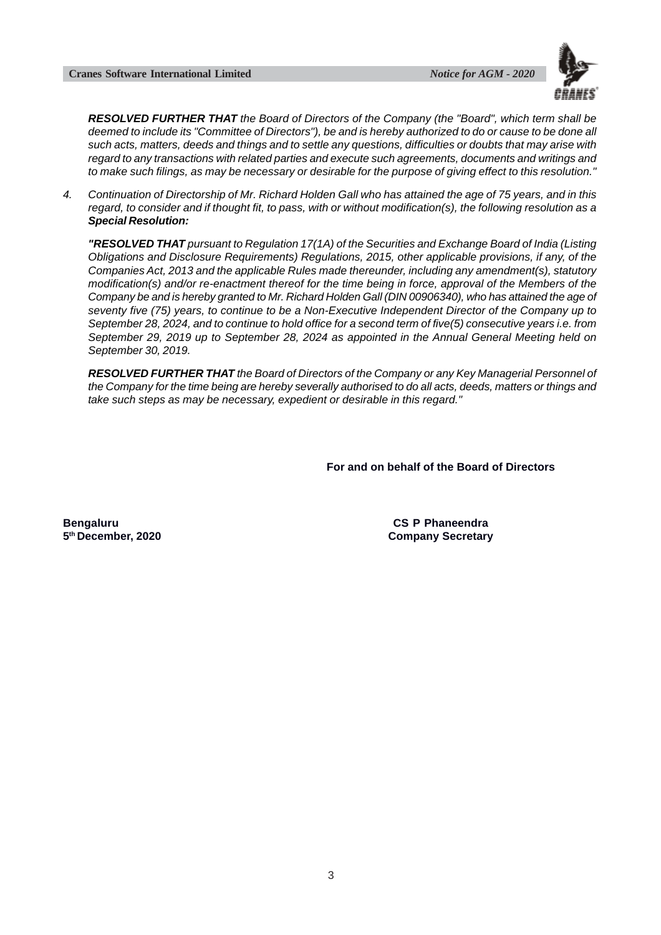

*RESOLVED FURTHER THAT the Board of Directors of the Company (the "Board", which term shall be deemed to include its "Committee of Directors"), be and is hereby authorized to do or cause to be done all such acts, matters, deeds and things and to settle any questions, difficulties or doubts that may arise with regard to any transactions with related parties and execute such agreements, documents and writings and to make such filings, as may be necessary or desirable for the purpose of giving effect to this resolution."*

*4. Continuation of Directorship of Mr. Richard Holden Gall who has attained the age of 75 years, and in this regard, to consider and if thought fit, to pass, with or without modification(s), the following resolution as a Special Resolution:*

*"RESOLVED THAT pursuant to Regulation 17(1A) of the Securities and Exchange Board of India (Listing Obligations and Disclosure Requirements) Regulations, 2015, other applicable provisions, if any, of the Companies Act, 2013 and the applicable Rules made thereunder, including any amendment(s), statutory modification(s) and/or re-enactment thereof for the time being in force, approval of the Members of the Company be and is hereby granted to Mr. Richard Holden Gall (DIN 00906340), who has attained the age of seventy five (75) years, to continue to be a Non-Executive Independent Director of the Company up to September 28, 2024, and to continue to hold office for a second term of five(5) consecutive years i.e. from September 29, 2019 up to September 28, 2024 as appointed in the Annual General Meeting held on September 30, 2019.*

*RESOLVED FURTHER THAT the Board of Directors of the Company or any Key Managerial Personnel of the Company for the time being are hereby severally authorised to do all acts, deeds, matters or things and take such steps as may be necessary, expedient or desirable in this regard."*

**For and on behalf of the Board of Directors**

**Bengaluru CS P Phaneendra 5<sup>th</sup> December, 2020 Company Secretary**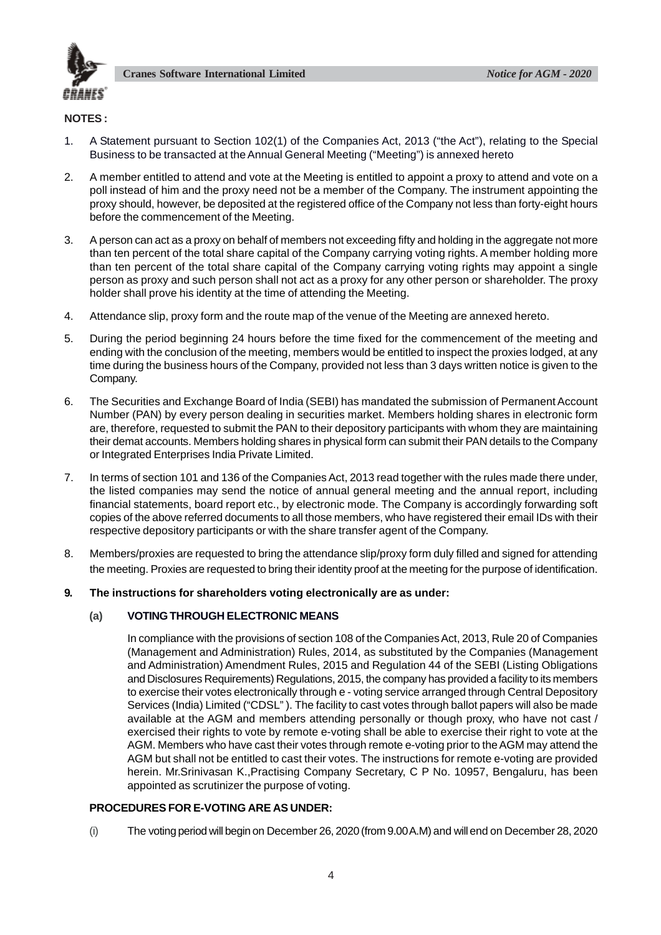

#### **NOTES :**

- 1. A Statement pursuant to Section 102(1) of the Companies Act, 2013 ("the Act"), relating to the Special Business to be transacted at the Annual General Meeting ("Meeting") is annexed hereto
- 2. A member entitled to attend and vote at the Meeting is entitled to appoint a proxy to attend and vote on a poll instead of him and the proxy need not be a member of the Company. The instrument appointing the proxy should, however, be deposited at the registered office of the Company not less than forty-eight hours before the commencement of the Meeting.
- 3. A person can act as a proxy on behalf of members not exceeding fifty and holding in the aggregate not more than ten percent of the total share capital of the Company carrying voting rights. A member holding more than ten percent of the total share capital of the Company carrying voting rights may appoint a single person as proxy and such person shall not act as a proxy for any other person or shareholder. The proxy holder shall prove his identity at the time of attending the Meeting.
- 4. Attendance slip, proxy form and the route map of the venue of the Meeting are annexed hereto.
- 5. During the period beginning 24 hours before the time fixed for the commencement of the meeting and ending with the conclusion of the meeting, members would be entitled to inspect the proxies lodged, at any time during the business hours of the Company, provided not less than 3 days written notice is given to the Company.
- 6. The Securities and Exchange Board of India (SEBI) has mandated the submission of Permanent Account Number (PAN) by every person dealing in securities market. Members holding shares in electronic form are, therefore, requested to submit the PAN to their depository participants with whom they are maintaining their demat accounts. Members holding shares in physical form can submit their PAN details to the Company or Integrated Enterprises India Private Limited.
- 7. In terms of section 101 and 136 of the Companies Act, 2013 read together with the rules made there under, the listed companies may send the notice of annual general meeting and the annual report, including financial statements, board report etc., by electronic mode. The Company is accordingly forwarding soft copies of the above referred documents to all those members, who have registered their email IDs with their respective depository participants or with the share transfer agent of the Company.
- 8. Members/proxies are requested to bring the attendance slip/proxy form duly filled and signed for attending the meeting. Proxies are requested to bring their identity proof at the meeting for the purpose of identification.
- **9. The instructions for shareholders voting electronically are as under:**

#### **(a) VOTING THROUGH ELECTRONIC MEANS**

In compliance with the provisions of section 108 of the Companies Act, 2013, Rule 20 of Companies (Management and Administration) Rules, 2014, as substituted by the Companies (Management and Administration) Amendment Rules, 2015 and Regulation 44 of the SEBI (Listing Obligations and Disclosures Requirements) Regulations, 2015, the company has provided a facility to its members to exercise their votes electronically through e - voting service arranged through Central Depository Services (India) Limited ("CDSL" ). The facility to cast votes through ballot papers will also be made available at the AGM and members attending personally or though proxy, who have not cast / exercised their rights to vote by remote e-voting shall be able to exercise their right to vote at the AGM. Members who have cast their votes through remote e-voting prior to the AGM may attend the AGM but shall not be entitled to cast their votes. The instructions for remote e-voting are provided herein. Mr.Srinivasan K.,Practising Company Secretary, C P No. 10957, Bengaluru, has been appointed as scrutinizer the purpose of voting.

#### **PROCEDURES FOR E-VOTING ARE AS UNDER:**

(i) The voting period will begin on December 26, 2020 (from 9.00 A.M) and will end on December 28, 2020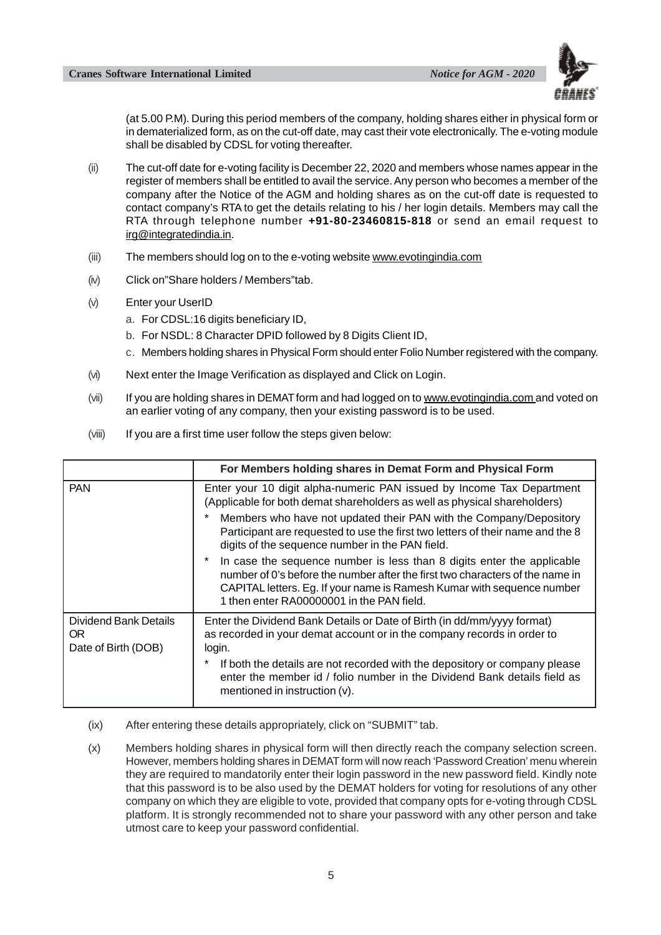

(at 5.00 P.M). During this period members of the company, holding shares either in physical form or in dematerialized form, as on the cut-off date, may cast their vote electronically. The e-voting module shall be disabled by CDSL for voting thereafter.

- (ii) The cut-off date for e-voting facility is December 22, 2020 and members whose names appear in the register of members shall be entitled to avail the service. Any person who becomes a member of the company after the Notice of the AGM and holding shares as on the cut-off date is requested to contact company's RTA to get the details relating to his / her login details. Members may call the RTA through telephone number **+91-80-23460815-818** or send an email request to irg@integratedindia.in.
- (iii) The members should log on to the e-voting website www.evotingindia.com
- (iv) Click on"Share holders / Members"tab.
- (v) Enter your UserID
	- a. For CDSL:16 digits beneficiary ID,
	- b. For NSDL: 8 Character DPID followed by 8 Digits Client ID,
	- c. Members holding shares in Physical Form should enter Folio Number registered with the company.
- (vi) Next enter the Image Verification as displayed and Click on Login.
- (vii) If you are holding shares in DEMAT form and had logged on to www.evotingindia.com and voted on an earlier voting of any company, then your existing password is to be used.
- (viii) If you are a first time user follow the steps given below:

|                                                     | For Members holding shares in Demat Form and Physical Form                                                                                                                                                                                                                     |
|-----------------------------------------------------|--------------------------------------------------------------------------------------------------------------------------------------------------------------------------------------------------------------------------------------------------------------------------------|
| <b>PAN</b>                                          | Enter your 10 digit alpha-numeric PAN issued by Income Tax Department<br>(Applicable for both demat shareholders as well as physical shareholders)                                                                                                                             |
|                                                     | Members who have not updated their PAN with the Company/Depository<br>Participant are requested to use the first two letters of their name and the 8<br>digits of the sequence number in the PAN field.                                                                        |
|                                                     | In case the sequence number is less than 8 digits enter the applicable<br>number of 0's before the number after the first two characters of the name in<br>CAPITAL letters. Eg. If your name is Ramesh Kumar with sequence number<br>1 then enter RA00000001 in the PAN field. |
| Dividend Bank Details<br>OR.<br>Date of Birth (DOB) | Enter the Dividend Bank Details or Date of Birth (in dd/mm/yyyy format)<br>as recorded in your demat account or in the company records in order to<br>login.                                                                                                                   |
|                                                     | *<br>If both the details are not recorded with the depository or company please<br>enter the member id / folio number in the Dividend Bank details field as<br>mentioned in instruction (v).                                                                                   |

- (ix) After entering these details appropriately, click on "SUBMIT" tab.
- (x) Members holding shares in physical form will then directly reach the company selection screen. However, members holding shares in DEMAT form will now reach 'Password Creation' menu wherein they are required to mandatorily enter their login password in the new password field. Kindly note that this password is to be also used by the DEMAT holders for voting for resolutions of any other company on which they are eligible to vote, provided that company opts for e-voting through CDSL platform. It is strongly recommended not to share your password with any other person and take utmost care to keep your password confidential.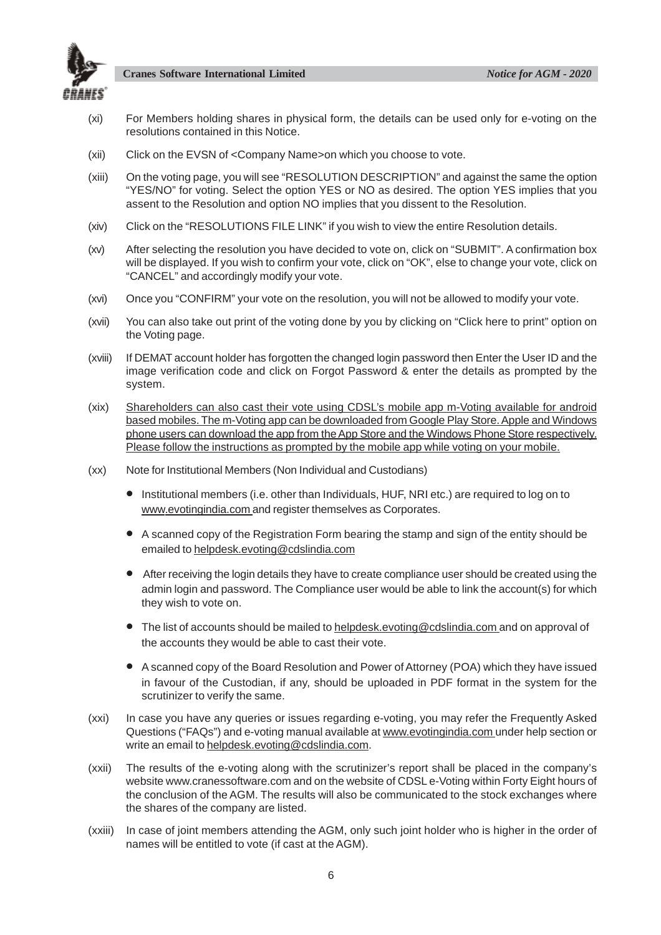

- (xi) For Members holding shares in physical form, the details can be used only for e-voting on the resolutions contained in this Notice.
- (xii) Click on the EVSN of <Company Name>on which you choose to vote.
- (xiii) On the voting page, you will see "RESOLUTION DESCRIPTION" and against the same the option "YES/NO" for voting. Select the option YES or NO as desired. The option YES implies that you assent to the Resolution and option NO implies that you dissent to the Resolution.
- (xiv) Click on the "RESOLUTIONS FILE LINK" if you wish to view the entire Resolution details.
- (xv) After selecting the resolution you have decided to vote on, click on "SUBMIT". A confirmation box will be displayed. If you wish to confirm your vote, click on "OK", else to change your vote, click on "CANCEL" and accordingly modify your vote.
- (xvi) Once you "CONFIRM" your vote on the resolution, you will not be allowed to modify your vote.
- (xvii) You can also take out print of the voting done by you by clicking on "Click here to print" option on the Voting page.
- (xviii) If DEMAT account holder has forgotten the changed login password then Enter the User ID and the image verification code and click on Forgot Password & enter the details as prompted by the system.
- (xix) Shareholders can also cast their vote using CDSL's mobile app m-Voting available for android based mobiles. The m-Voting app can be downloaded from Google Play Store. Apple and Windows phone users can download the app from the App Store and the Windows Phone Store respectively. Please follow the instructions as prompted by the mobile app while voting on your mobile.
- (xx) Note for Institutional Members (Non Individual and Custodians)
	- Institutional members (i.e. other than Individuals, HUF, NRI etc.) are required to log on to www.evotingindia.com and register themselves as Corporates.
	- A scanned copy of the Registration Form bearing the stamp and sign of the entity should be emailed to helpdesk.evoting@cdslindia.com
	- After receiving the login details they have to create compliance user should be created using the admin login and password. The Compliance user would be able to link the account(s) for which they wish to vote on.
	- The list of accounts should be mailed to helpdesk.evoting@cdslindia.com and on approval of the accounts they would be able to cast their vote.
	- A scanned copy of the Board Resolution and Power of Attorney (POA) which they have issued in favour of the Custodian, if any, should be uploaded in PDF format in the system for the scrutinizer to verify the same.
- (xxi) In case you have any queries or issues regarding e-voting, you may refer the Frequently Asked Questions ("FAQs") and e-voting manual available at www.evotingindia.com under help section or write an email to helpdesk.evoting@cdslindia.com.
- (xxii) The results of the e-voting along with the scrutinizer's report shall be placed in the company's website www.cranessoftware.com and on the website of CDSL e-Voting within Forty Eight hours of the conclusion of the AGM. The results will also be communicated to the stock exchanges where the shares of the company are listed.
- (xxiii) In case of joint members attending the AGM, only such joint holder who is higher in the order of names will be entitled to vote (if cast at the AGM).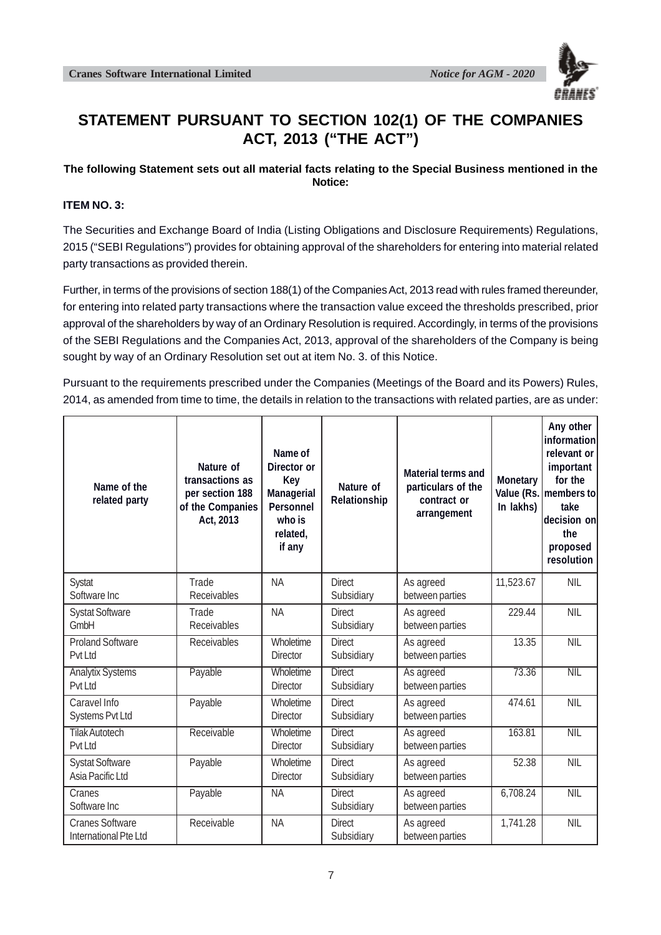

# **STATEMENT PURSUANT TO SECTION 102(1) OF THE COMPANIES ACT, 2013 ("THE ACT")**

#### **The following Statement sets out all material facts relating to the Special Business mentioned in the Notice:**

#### **ITEM NO. 3:**

The Securities and Exchange Board of India (Listing Obligations and Disclosure Requirements) Regulations, 2015 ("SEBI Regulations") provides for obtaining approval of the shareholders for entering into material related party transactions as provided therein.

Further, in terms of the provisions of section 188(1) of the Companies Act, 2013 read with rules framed thereunder, for entering into related party transactions where the transaction value exceed the thresholds prescribed, prior approval of the shareholders by way of an Ordinary Resolution is required. Accordingly, in terms of the provisions of the SEBI Regulations and the Companies Act, 2013, approval of the shareholders of the Company is being sought by way of an Ordinary Resolution set out at item No. 3. of this Notice.

Pursuant to the requirements prescribed under the Companies (Meetings of the Board and its Powers) Rules, 2014, as amended from time to time, the details in relation to the transactions with related parties, are as under:

| Name of the<br>related party                    | Nature of<br>transactions as<br>per section 188<br>of the Companies<br>Act, 2013 | Name of<br>Director or<br>Key<br>Managerial<br>Personnel<br>who is<br>related,<br>if any | Nature of<br>Relationship   | Material terms and<br>particulars of the<br>contract or<br>arrangement | Monetary<br>In lakhs) | Any other<br>information<br>relevant or<br>important<br>for the<br>Value (Rs.   members to<br>take<br>decision on<br>the<br>proposed<br>resolution |
|-------------------------------------------------|----------------------------------------------------------------------------------|------------------------------------------------------------------------------------------|-----------------------------|------------------------------------------------------------------------|-----------------------|----------------------------------------------------------------------------------------------------------------------------------------------------|
| Systat<br>Software Inc                          | Trade<br>Receivables                                                             | <b>NA</b>                                                                                | <b>Direct</b><br>Subsidiary | As agreed<br>between parties                                           | 11,523.67             | <b>NIL</b>                                                                                                                                         |
| <b>Systat Software</b><br>GmbH                  | Trade<br>Receivables                                                             | <b>NA</b>                                                                                | <b>Direct</b><br>Subsidiary | As agreed<br>between parties                                           | 229.44                | <b>NIL</b>                                                                                                                                         |
| <b>Proland Software</b><br>Pvt Ltd              | Receivables                                                                      | Wholetime<br><b>Director</b>                                                             | <b>Direct</b><br>Subsidiary | As agreed<br>between parties                                           | 13.35                 | <b>NIL</b>                                                                                                                                         |
| <b>Analytix Systems</b><br>Pvt Ltd              | Payable                                                                          | Wholetime<br><b>Director</b>                                                             | <b>Direct</b><br>Subsidiary | As agreed<br>between parties                                           | 73.36                 | NIL                                                                                                                                                |
| Caravel Info<br>Systems Pvt Ltd                 | Payable                                                                          | Wholetime<br><b>Director</b>                                                             | <b>Direct</b><br>Subsidiary | As agreed<br>between parties                                           | 474.61                | <b>NIL</b>                                                                                                                                         |
| <b>Tilak Autotech</b><br>Pvt Ltd                | Receivable                                                                       | Wholetime<br><b>Director</b>                                                             | <b>Direct</b><br>Subsidiary | As agreed<br>between parties                                           | 163.81                | <b>NIL</b>                                                                                                                                         |
| <b>Systat Software</b><br>Asia Pacific Ltd      | Payable                                                                          | Wholetime<br><b>Director</b>                                                             | <b>Direct</b><br>Subsidiary | As agreed<br>between parties                                           | 52.38                 | <b>NIL</b>                                                                                                                                         |
| Cranes<br>Software Inc                          | Payable                                                                          | <b>NA</b>                                                                                | <b>Direct</b><br>Subsidiary | As agreed<br>between parties                                           | 6,708.24              | <b>NIL</b>                                                                                                                                         |
| <b>Cranes Software</b><br>International Pte Ltd | Receivable                                                                       | <b>NA</b>                                                                                | <b>Direct</b><br>Subsidiary | As agreed<br>between parties                                           | 1,741.28              | <b>NIL</b>                                                                                                                                         |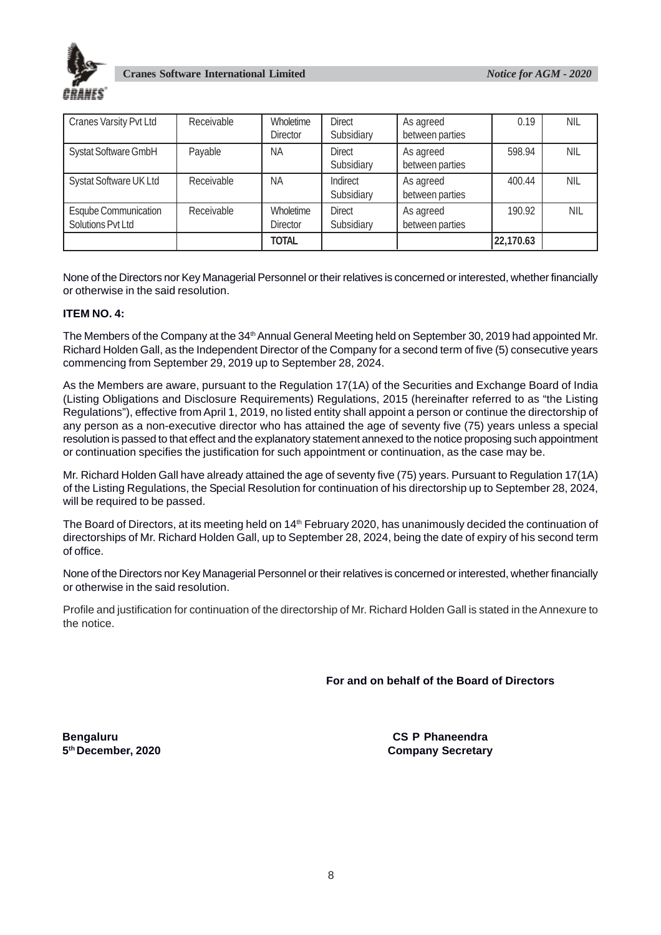

| Cranes Varsity Pvt Ltd                           | Receivable | Wholetime<br><b>Director</b> | <b>Direct</b><br>Subsidiary | As agreed<br>between parties | 0.19      | <b>NIL</b> |
|--------------------------------------------------|------------|------------------------------|-----------------------------|------------------------------|-----------|------------|
| Systat Software GmbH                             | Payable    | <b>NA</b>                    | <b>Direct</b><br>Subsidiary | As agreed<br>between parties | 598.94    | NIL        |
| Systat Software UK Ltd                           | Receivable | <b>NA</b>                    | Indirect<br>Subsidiary      | As agreed<br>between parties | 400.44    | <b>NIL</b> |
| <b>Esqube Communication</b><br>Solutions Pvt Ltd | Receivable | Wholetime<br><b>Director</b> | <b>Direct</b><br>Subsidiary | As agreed<br>between parties | 190.92    | <b>NIL</b> |
|                                                  |            | <b>TOTAL</b>                 |                             |                              | 22,170.63 |            |

None of the Directors nor Key Managerial Personnel or their relatives is concerned or interested, whether financially or otherwise in the said resolution.

#### **ITEM NO. 4:**

The Members of the Company at the 34<sup>th</sup> Annual General Meeting held on September 30, 2019 had appointed Mr. Richard Holden Gall, as the Independent Director of the Company for a second term of five (5) consecutive years commencing from September 29, 2019 up to September 28, 2024.

As the Members are aware, pursuant to the Regulation 17(1A) of the Securities and Exchange Board of India (Listing Obligations and Disclosure Requirements) Regulations, 2015 (hereinafter referred to as "the Listing Regulations"), effective from April 1, 2019, no listed entity shall appoint a person or continue the directorship of any person as a non-executive director who has attained the age of seventy five (75) years unless a special resolution is passed to that effect and the explanatory statement annexed to the notice proposing such appointment or continuation specifies the justification for such appointment or continuation, as the case may be.

Mr. Richard Holden Gall have already attained the age of seventy five (75) years. Pursuant to Regulation 17(1A) of the Listing Regulations, the Special Resolution for continuation of his directorship up to September 28, 2024, will be required to be passed.

The Board of Directors, at its meeting held on 14<sup>th</sup> February 2020, has unanimously decided the continuation of directorships of Mr. Richard Holden Gall, up to September 28, 2024, being the date of expiry of his second term of office.

None of the Directors nor Key Managerial Personnel or their relatives is concerned or interested, whether financially or otherwise in the said resolution.

Profile and justification for continuation of the directorship of Mr. Richard Holden Gall is stated in the Annexure to the notice.

**For and on behalf of the Board of Directors**

**Bengaluru CS P Phaneendra 5<sup>th</sup> December, 2020 Company Secretary**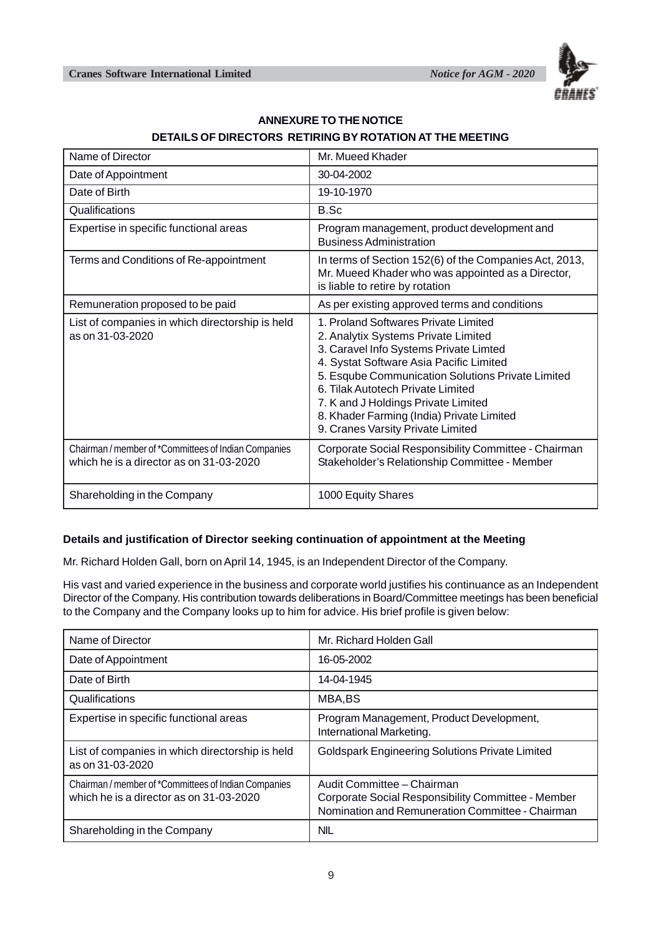

| Name of Director                                                                                | Mr. Mueed Khader                                                                                                                                                                                                                                                                                                                                                                    |
|-------------------------------------------------------------------------------------------------|-------------------------------------------------------------------------------------------------------------------------------------------------------------------------------------------------------------------------------------------------------------------------------------------------------------------------------------------------------------------------------------|
| Date of Appointment                                                                             | 30-04-2002                                                                                                                                                                                                                                                                                                                                                                          |
| Date of Birth                                                                                   | 19-10-1970                                                                                                                                                                                                                                                                                                                                                                          |
| Qualifications                                                                                  | B.Sc                                                                                                                                                                                                                                                                                                                                                                                |
| Expertise in specific functional areas                                                          | Program management, product development and<br><b>Business Administration</b>                                                                                                                                                                                                                                                                                                       |
| Terms and Conditions of Re-appointment                                                          | In terms of Section 152(6) of the Companies Act, 2013,<br>Mr. Mueed Khader who was appointed as a Director,<br>is liable to retire by rotation                                                                                                                                                                                                                                      |
| Remuneration proposed to be paid                                                                | As per existing approved terms and conditions                                                                                                                                                                                                                                                                                                                                       |
| List of companies in which directorship is held<br>as on 31-03-2020                             | 1. Proland Softwares Private Limited<br>2. Analytix Systems Private Limited<br>3. Caravel Info Systems Private Limted<br>4. Systat Software Asia Pacific Limited<br>5. Esqube Communication Solutions Private Limited<br>6. Tilak Autotech Private Limited<br>7. K and J Holdings Private Limited<br>8. Khader Farming (India) Private Limited<br>9. Cranes Varsity Private Limited |
| Chairman / member of *Committees of Indian Companies<br>which he is a director as on 31-03-2020 | Corporate Social Responsibility Committee - Chairman<br>Stakeholder's Relationship Committee - Member                                                                                                                                                                                                                                                                               |
| Shareholding in the Company                                                                     | 1000 Equity Shares                                                                                                                                                                                                                                                                                                                                                                  |

### **ANNEXURE TO THE NOTICE DETAILS OF DIRECTORS RETIRING BY ROTATION AT THE MEETING**

#### **Details and justification of Director seeking continuation of appointment at the Meeting**

Mr. Richard Holden Gall, born on April 14, 1945, is an Independent Director of the Company.

His vast and varied experience in the business and corporate world justifies his continuance as an Independent Director of the Company. His contribution towards deliberations in Board/Committee meetings has been beneficial to the Company and the Company looks up to him for advice. His brief profile is given below:

| Name of Director                                                                                | Mr. Richard Holden Gall                                                                                                              |
|-------------------------------------------------------------------------------------------------|--------------------------------------------------------------------------------------------------------------------------------------|
| Date of Appointment                                                                             | 16-05-2002                                                                                                                           |
| Date of Birth                                                                                   | 14-04-1945                                                                                                                           |
| Qualifications                                                                                  | MBA,BS                                                                                                                               |
| Expertise in specific functional areas                                                          | Program Management, Product Development,<br>International Marketing.                                                                 |
| List of companies in which directorship is held<br>as on 31-03-2020                             | <b>Goldspark Engineering Solutions Private Limited</b>                                                                               |
| Chairman / member of *Committees of Indian Companies<br>which he is a director as on 31-03-2020 | Audit Committee - Chairman<br>Corporate Social Responsibility Committee - Member<br>Nomination and Remuneration Committee - Chairman |
| Shareholding in the Company                                                                     | <b>NIL</b>                                                                                                                           |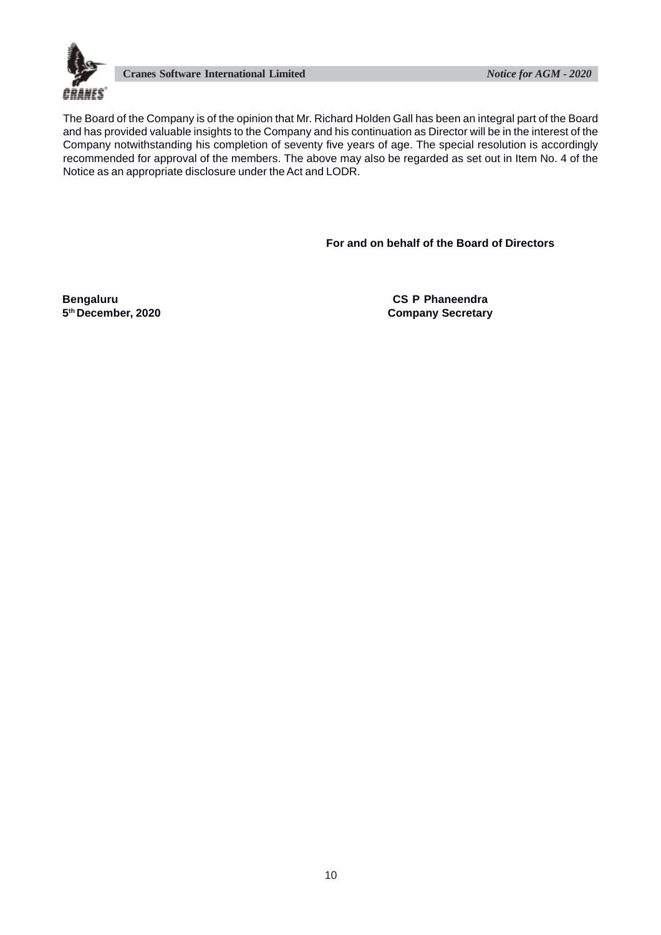

**Cranes Software International Limited** *Notice for AGM - 2020*

The Board of the Company is of the opinion that Mr. Richard Holden Gall has been an integral part of the Board and has provided valuable insights to the Company and his continuation as Director will be in the interest of the Company notwithstanding his completion of seventy five years of age. The special resolution is accordingly recommended for approval of the members. The above may also be regarded as set out in Item No. 4 of the Notice as an appropriate disclosure under the Act and LODR.

**For and on behalf of the Board of Directors**

**Bengaluru CS P Phaneendra**<br>
5<sup>th</sup> December, 2020 **COMPANE COMPANE COMPANE COMPANE COMPANE COMPANE COMPANE COMPANE COMPANE COMPANE COMPANE COMPANE COMPANE COMPANE COMPANE COMPANE COMPANE COMPANE COMPANE COMPANE COMPANE COM Company Secretary**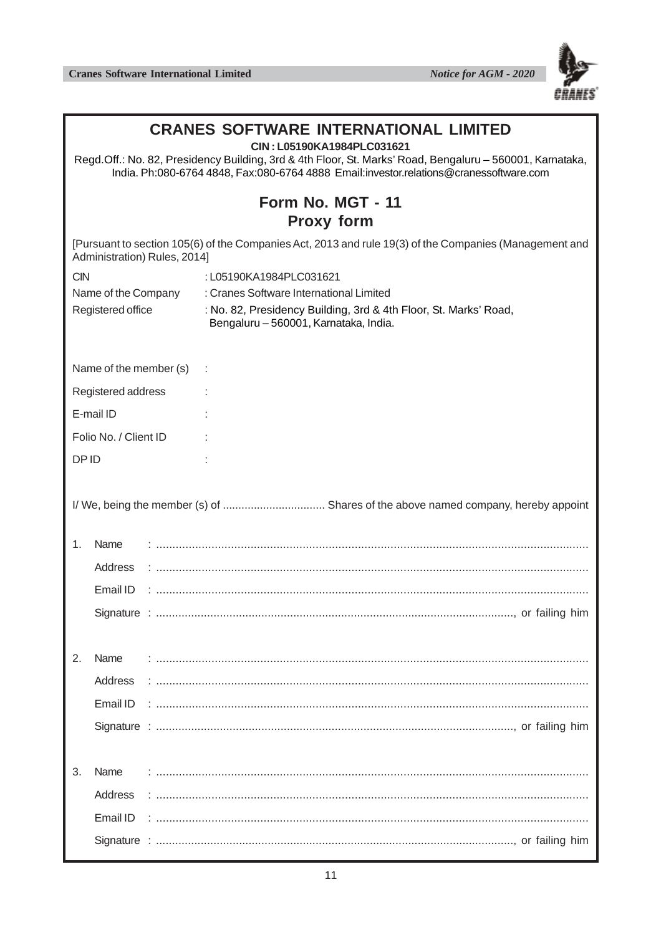**Cranes Software International Limited** *Notice for AGM - 2020*



| <b>CRANES SOFTWARE INTERNATIONAL LIMITED</b><br>CIN: L05190KA1984PLC031621<br>Regd.Off.: No. 82, Presidency Building, 3rd & 4th Floor, St. Marks' Road, Bengaluru - 560001, Karnataka,<br>India. Ph:080-6764 4848, Fax:080-6764 4888 Email:investor.relations@cranessoftware.com |                        |                                                                                                                                        |  |  |
|----------------------------------------------------------------------------------------------------------------------------------------------------------------------------------------------------------------------------------------------------------------------------------|------------------------|----------------------------------------------------------------------------------------------------------------------------------------|--|--|
|                                                                                                                                                                                                                                                                                  |                        | Form No. MGT - 11                                                                                                                      |  |  |
|                                                                                                                                                                                                                                                                                  |                        | <b>Proxy form</b>                                                                                                                      |  |  |
|                                                                                                                                                                                                                                                                                  |                        | [Pursuant to section 105(6) of the Companies Act, 2013 and rule 19(3) of the Companies (Management and<br>Administration) Rules, 2014] |  |  |
| <b>CIN</b>                                                                                                                                                                                                                                                                       |                        | :L05190KA1984PLC031621                                                                                                                 |  |  |
|                                                                                                                                                                                                                                                                                  | Name of the Company    | : Cranes Software International Limited                                                                                                |  |  |
|                                                                                                                                                                                                                                                                                  | Registered office      | : No. 82, Presidency Building, 3rd & 4th Floor, St. Marks' Road,<br>Bengaluru - 560001, Karnataka, India.                              |  |  |
|                                                                                                                                                                                                                                                                                  | Name of the member (s) | ÷                                                                                                                                      |  |  |
|                                                                                                                                                                                                                                                                                  | Registered address     |                                                                                                                                        |  |  |
|                                                                                                                                                                                                                                                                                  | E-mail ID              |                                                                                                                                        |  |  |
|                                                                                                                                                                                                                                                                                  | Folio No. / Client ID  |                                                                                                                                        |  |  |
| DP ID                                                                                                                                                                                                                                                                            |                        |                                                                                                                                        |  |  |
|                                                                                                                                                                                                                                                                                  |                        |                                                                                                                                        |  |  |
| 1.                                                                                                                                                                                                                                                                               | Name                   |                                                                                                                                        |  |  |
|                                                                                                                                                                                                                                                                                  | Address                |                                                                                                                                        |  |  |
|                                                                                                                                                                                                                                                                                  |                        |                                                                                                                                        |  |  |
|                                                                                                                                                                                                                                                                                  |                        |                                                                                                                                        |  |  |
| 2.                                                                                                                                                                                                                                                                               | Name                   |                                                                                                                                        |  |  |
|                                                                                                                                                                                                                                                                                  | Address                |                                                                                                                                        |  |  |
|                                                                                                                                                                                                                                                                                  |                        |                                                                                                                                        |  |  |
|                                                                                                                                                                                                                                                                                  |                        |                                                                                                                                        |  |  |
|                                                                                                                                                                                                                                                                                  |                        |                                                                                                                                        |  |  |
| 3.                                                                                                                                                                                                                                                                               | Name                   |                                                                                                                                        |  |  |
|                                                                                                                                                                                                                                                                                  | Address                |                                                                                                                                        |  |  |
|                                                                                                                                                                                                                                                                                  | Email ID               |                                                                                                                                        |  |  |
|                                                                                                                                                                                                                                                                                  |                        |                                                                                                                                        |  |  |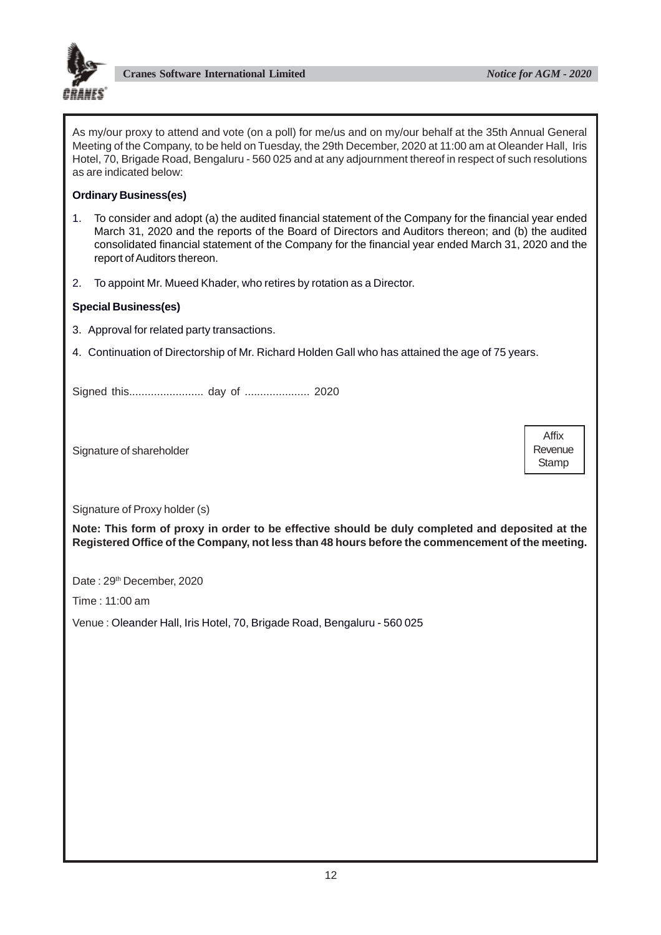

As my/our proxy to attend and vote (on a poll) for me/us and on my/our behalf at the 35th Annual General Meeting of the Company, to be held on Tuesday, the 29th December, 2020 at 11:00 am at Oleander Hall, Iris Hotel, 70, Brigade Road, Bengaluru - 560 025 and at any adjournment thereof in respect of such resolutions as are indicated below:

#### **Ordinary Business(es)**

- 1. To consider and adopt (a) the audited financial statement of the Company for the financial year ended March 31, 2020 and the reports of the Board of Directors and Auditors thereon; and (b) the audited consolidated financial statement of the Company for the financial year ended March 31, 2020 and the report of Auditors thereon.
- 2. To appoint Mr. Mueed Khader, who retires by rotation as a Director.

#### **Special Business(es)**

- 3. Approval for related party transactions.
- 4. Continuation of Directorship of Mr. Richard Holden Gall who has attained the age of 75 years.

Signed this........................ day of ..................... 2020

Signature of shareholder

Affix **Revenue Stamp** 

Signature of Proxy holder (s)

**Note: This form of proxy in order to be effective should be duly completed and deposited at the Registered Office of the Company, not less than 48 hours before the commencement of the meeting.**

Date: 29<sup>th</sup> December, 2020

Time : 11:00 am

Venue : Oleander Hall, Iris Hotel, 70, Brigade Road, Bengaluru - 560 025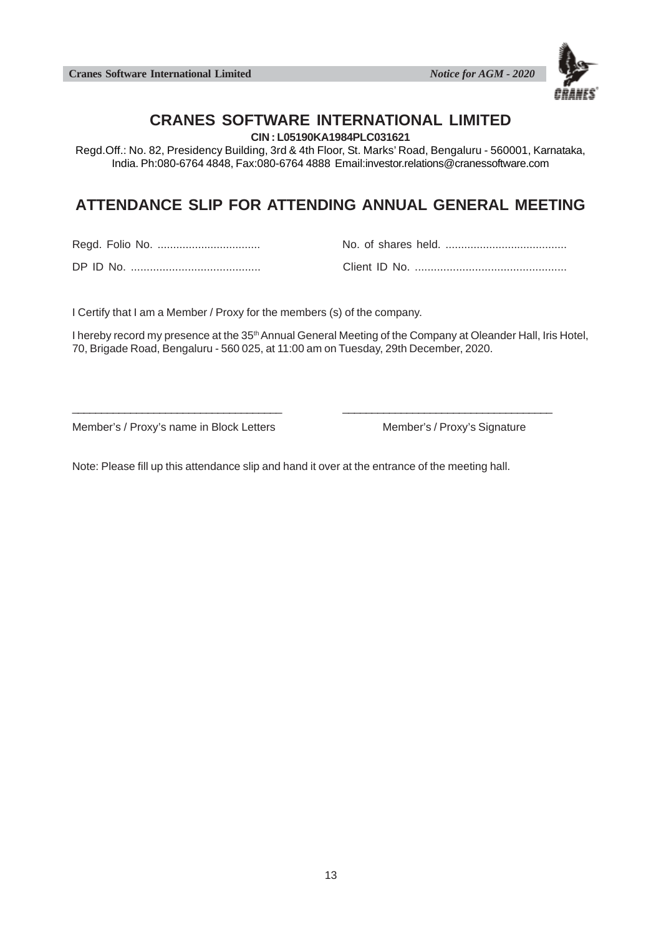**Cranes Software International Limited** *Notice for AGM - 2020*



## **CRANES SOFTWARE INTERNATIONAL LIMITED**

**CIN : L05190KA1984PLC031621**

Regd.Off.: No. 82, Presidency Building, 3rd & 4th Floor, St. Marks' Road, Bengaluru - 560001, Karnataka, India. Ph:080-6764 4848, Fax:080-6764 4888 Email:investor.relations@cranessoftware.com

# **ATTENDANCE SLIP FOR ATTENDING ANNUAL GENERAL MEETING**

Regd. Folio No. ................................. No. of shares held. .......................................

DP ID No. ......................................... Client ID No. ................................................

I Certify that I am a Member / Proxy for the members (s) of the company.

I hereby record my presence at the 35<sup>th</sup> Annual General Meeting of the Company at Oleander Hall, Iris Hotel, 70, Brigade Road, Bengaluru - 560 025, at 11:00 am on Tuesday, 29th December, 2020.

Member's / Proxy's name in Block Letters Member's / Proxy's Signature

Note: Please fill up this attendance slip and hand it over at the entrance of the meeting hall.

\_\_\_\_\_\_\_\_\_\_\_\_\_\_\_\_\_\_\_\_\_\_\_\_\_\_\_\_\_\_\_\_\_\_\_\_ \_\_\_\_\_\_\_\_\_\_\_\_\_\_\_\_\_\_\_\_\_\_\_\_\_\_\_\_\_\_\_\_\_\_\_\_